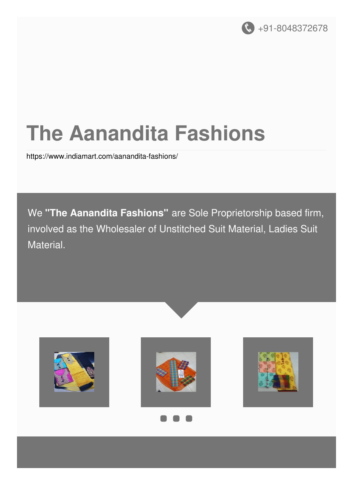

# **The Aanandita Fashions**

<https://www.indiamart.com/aanandita-fashions/>

We **"The Aanandita Fashions"** are Sole Proprietorship based firm, involved as the Wholesaler of Unstitched Suit Material, Ladies Suit Material.

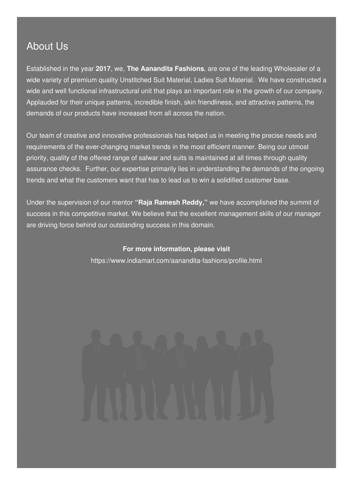### About Us

Established in the year **2017**, we, **The Aanandita Fashions**, are one of the leading Wholesaler of a wide variety of premium quality Unstitched Suit Material, Ladies Suit Material. We have constructed a wide and well functional infrastructural unit that plays an important role in the growth of our company. Applauded for their unique patterns, incredible finish, skin friendliness, and attractive patterns, the demands of our products have increased from all across the nation.

Our team of creative and innovative professionals has helped us in meeting the precise needs and requirements of the ever-changing market trends in the most efficient manner. Being our utmost priority, quality of the offered range of salwar and suits is maintained at all times through quality assurance checks. Further, our expertise primarily lies in understanding the demands of the ongoing trends and what the customers want that has to lead us to win a solidified customer base.

Under the supervision of our mentor **"Raja Ramesh Reddy,"** we have accomplished the summit of success in this competitive market. We believe that the excellent management skills of our manager are driving force behind our outstanding success in this domain.

**For more information, please visit**

<https://www.indiamart.com/aanandita-fashions/profile.html>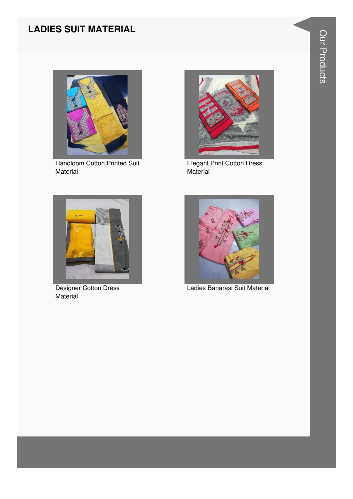#### **LADIES SUIT MATERIAL**



**Handloom Cotton Printed Suit** Material



**Elegant Print Cotton Dress** Material



Designer Cotton Dress Material



Ladies Banarasi Suit Material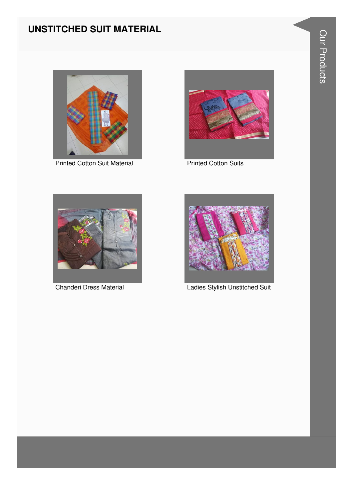#### **UNSTITCHED SUIT MATERIAL**



**Printed Cotton Suit Material** 



**Printed Cotton Suits** 



**Chanderi Dress Material** 



**Ladies Stylish Unstitched Suit**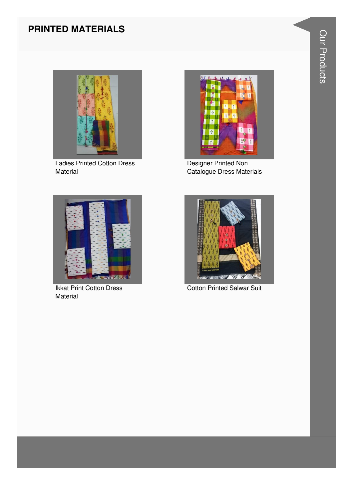#### **PRINTED MATERIALS**



**Ladies Printed Cotton Dress** Material



Designer Printed Non Catalogue Dress Materials



**Ikkat Print Cotton Dress** Material



**Cotton Printed Salwar Suit**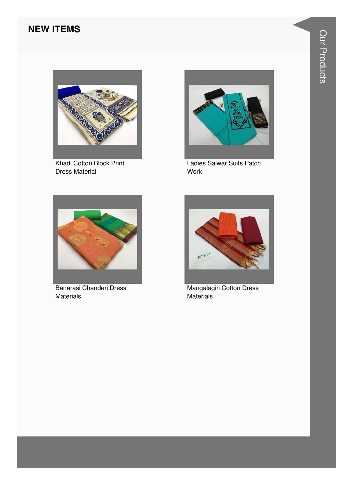#### **NEW ITEMS**



Khadi Cotton Block Print **Dress Material** 



Ladies Salwar Suits Patch Work



Banarasi Chanderi Dress **Materials** 



Mangalagiri Cotton Dress Materials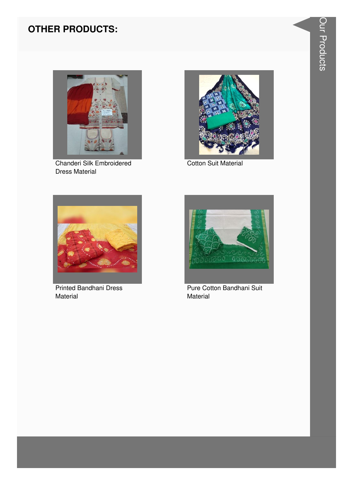#### **OTHER PRODUCTS:**



Chanderi Silk Embroidered **Dress Material** 



**Cotton Suit Material** 



**Printed Bandhani Dress** Material



Pure Cotton Bandhani Suit Material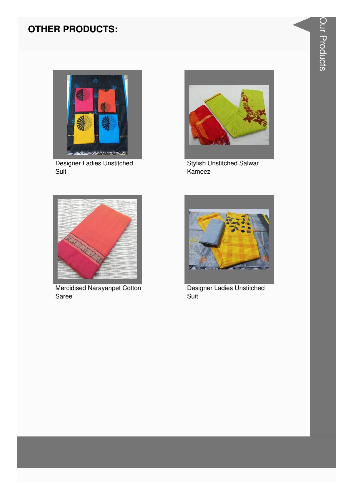#### **OTHER PRODUCTS:**



**Designer Ladies Unstitched** Suit



**Stylish Unstitched Salwar** Kameez



Mercidised Narayanpet Cotton Saree



Designer Ladies Unstitched Suit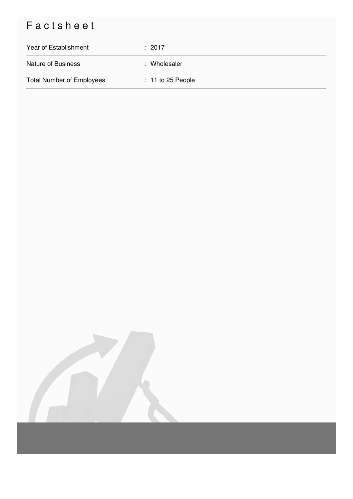## Factsheet

| Year of Establishment            | $\div$ 2017         |
|----------------------------------|---------------------|
| <b>Nature of Business</b>        | : Wholesaler        |
| <b>Total Number of Employees</b> | $: 11$ to 25 People |